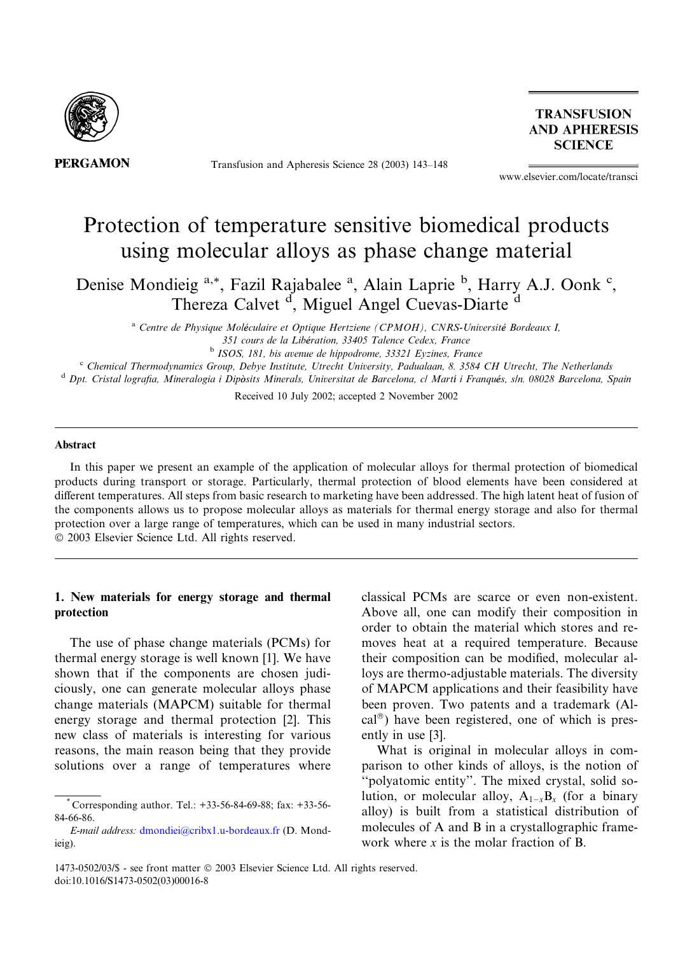

**PERGAMON** 

Transfusion and Apheresis Science 28 (2003) 143–148

**TRANSFUSION AND APHERESIS SCIENCE** 

www.elsevier.com/locate/transci

# Protection of temperature sensitive biomedical products using molecular alloys as phase change material

Denise Mondieig<sup>a,\*</sup>, Fazil Rajabalee<sup>a</sup>, Alain Laprie<sup>b</sup>, Harry A.J. Oonk<sup>c</sup>, Thereza Calvet <sup>d</sup>, Miguel Angel Cuevas-Diarte <sup>d</sup>

<sup>a</sup> Centre de Physique Moléculaire et Optique Hertziene (CPMOH), CNRS-Université Bordeaux I, 351 cours de la Libération, 33405 Talence Cedex, France b ISOS, 181, bis avenue de hippodrome, 33321 Eyzines, France

<sup>c</sup> Chemical Thermodynamics Group, Debye Institute, Utrecht University, Padualaan, 8. 3584 CH Utrecht, The Netherlands

<sup>d</sup> Dpt. Cristal lografia, Mineralogia i Dipòsits Minerals, Universitat de Barcelona, cl Martí i Franqués, s/n. 08028 Barcelona, Spain

Received 10 July 2002; accepted 2 November 2002

#### Abstract

In this paper we present an example of the application of molecular alloys for thermal protection of biomedical products during transport or storage. Particularly, thermal protection of blood elements have been considered at different temperatures. All steps from basic research to marketing have been addressed. The high latent heat of fusion of the components allows us to propose molecular alloys as materials for thermal energy storage and also for thermal protection over a large range of temperatures, which can be used in many industrial sectors. 2003 Elsevier Science Ltd. All rights reserved.

## 1. New materials for energy storage and thermal protection

The use of phase change materials (PCMs) for thermal energy storage is well known [1]. We have shown that if the components are chosen judiciously, one can generate molecular alloys phase change materials (MAPCM) suitable for thermal energy storage and thermal protection [2]. This new class of materials is interesting for various reasons, the main reason being that they provide solutions over a range of temperatures where classical PCMs are scarce or even non-existent. Above all, one can modify their composition in order to obtain the material which stores and removes heat at a required temperature. Because their composition can be modified, molecular alloys are thermo-adjustable materials. The diversity of MAPCM applications and their feasibility have been proven. Two patents and a trademark (Alcal<sup>®</sup>) have been registered, one of which is presently in use [3].

What is original in molecular alloys in comparison to other kinds of alloys, is the notion of ''polyatomic entity''. The mixed crystal, solid solution, or molecular alloy,  $A_{1-x}B_x$  (for a binary alloy) is built from a statistical distribution of molecules of A and B in a crystallographic framework where  $x$  is the molar fraction of B.

<sup>\*</sup> Corresponding author. Tel.: +33-56-84-69-88; fax: +33-56- 84-66-86.

E-mail address: [dmondiei@cribx1.u-bordeaux.fr](mail to: dmondiei@cribx1.u-bordeaux.fr) (D. Mondieig).

<sup>1473-0502/03/\$ -</sup> see front matter 2003 Elsevier Science Ltd. All rights reserved. doi:10.1016/S1473-0502(03)00016-8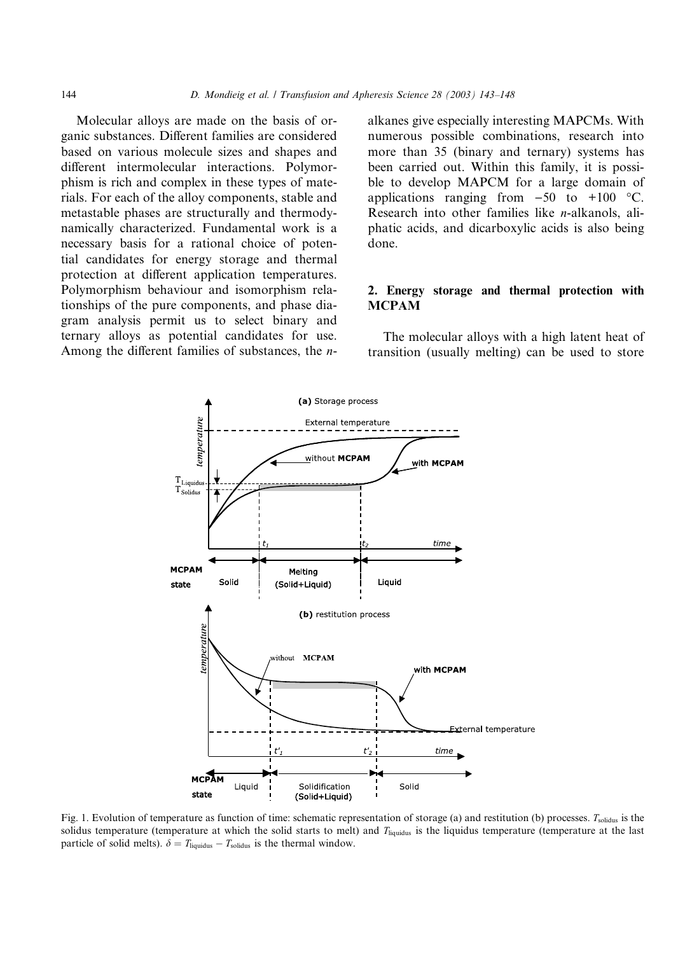Molecular alloys are made on the basis of organic substances. Different families are considered based on various molecule sizes and shapes and different intermolecular interactions. Polymorphism is rich and complex in these types of materials. For each of the alloy components, stable and metastable phases are structurally and thermodynamically characterized. Fundamental work is a necessary basis for a rational choice of potential candidates for energy storage and thermal protection at different application temperatures. Polymorphism behaviour and isomorphism relationships of the pure components, and phase diagram analysis permit us to select binary and ternary alloys as potential candidates for use. Among the different families of substances, the nalkanes give especially interesting MAPCMs. With numerous possible combinations, research into more than 35 (binary and ternary) systems has been carried out. Within this family, it is possible to develop MAPCM for a large domain of applications ranging from  $-50$  to  $+100$  °C. Research into other families like n-alkanols, aliphatic acids, and dicarboxylic acids is also being done.

## 2. Energy storage and thermal protection with MCPAM

The molecular alloys with a high latent heat of transition (usually melting) can be used to store



Fig. 1. Evolution of temperature as function of time: schematic representation of storage (a) and restitution (b) processes. T<sub>solidus</sub> is the solidus temperature (temperature at which the solid starts to melt) and  $T_{\text{liquidus}}$  is the liquidus temperature (temperature at the last particle of solid melts).  $\delta = T_{\text{liquidus}} - T_{\text{solidus}}$  is the thermal window.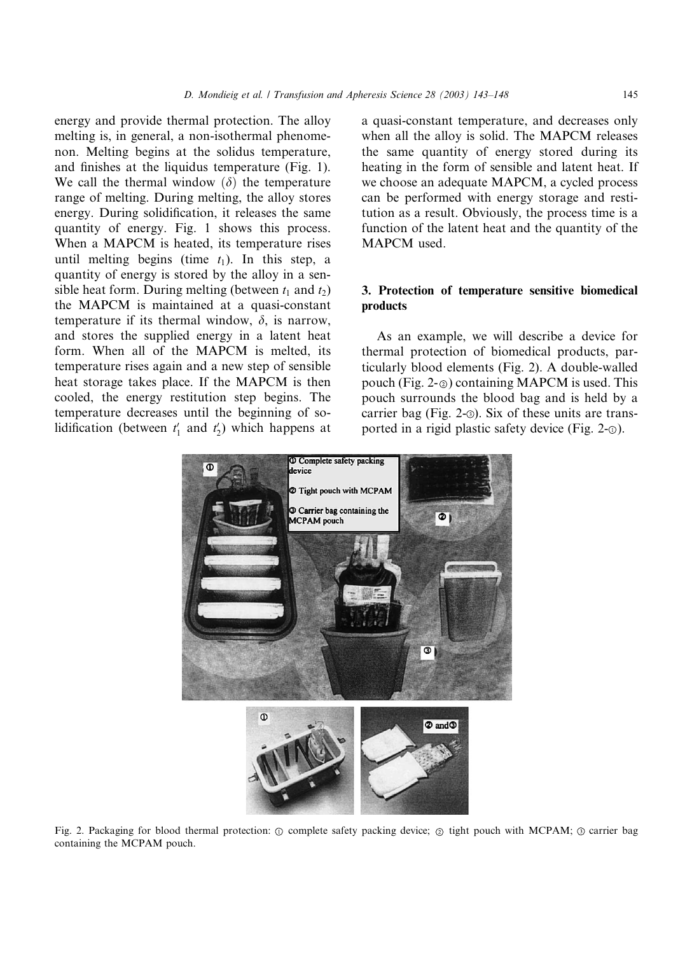energy and provide thermal protection. The alloy melting is, in general, a non-isothermal phenomenon. Melting begins at the solidus temperature, and finishes at the liquidus temperature (Fig. 1). We call the thermal window  $(\delta)$  the temperature range of melting. During melting, the alloy stores energy. During solidification, it releases the same quantity of energy. Fig. 1 shows this process. When a MAPCM is heated, its temperature rises until melting begins (time  $t_1$ ). In this step, a quantity of energy is stored by the alloy in a sensible heat form. During melting (between  $t_1$  and  $t_2$ ) the MAPCM is maintained at a quasi-constant temperature if its thermal window,  $\delta$ , is narrow, and stores the supplied energy in a latent heat form. When all of the MAPCM is melted, its temperature rises again and a new step of sensible heat storage takes place. If the MAPCM is then cooled, the energy restitution step begins. The temperature decreases until the beginning of solidification (between  $t_1'$  and  $t_2'$ ) which happens at

a quasi-constant temperature, and decreases only when all the alloy is solid. The MAPCM releases the same quantity of energy stored during its heating in the form of sensible and latent heat. If we choose an adequate MAPCM, a cycled process can be performed with energy storage and restitution as a result. Obviously, the process time is a function of the latent heat and the quantity of the MAPCM used.

## 3. Protection of temperature sensitive biomedical products

As an example, we will describe a device for thermal protection of biomedical products, particularly blood elements (Fig. 2). A double-walled pouch (Fig. 2- $\circ$ ) containing MAPCM is used. This pouch surrounds the blood bag and is held by a carrier bag (Fig. 2- $\odot$ ). Six of these units are transported in a rigid plastic safety device (Fig.  $2-\circ$ ).



Fig. 2. Packaging for blood thermal protection:  $\circledcirc$  complete safety packing device;  $\circledcirc$  tight pouch with MCPAM;  $\circledcirc$  carrier bag containing the MCPAM pouch.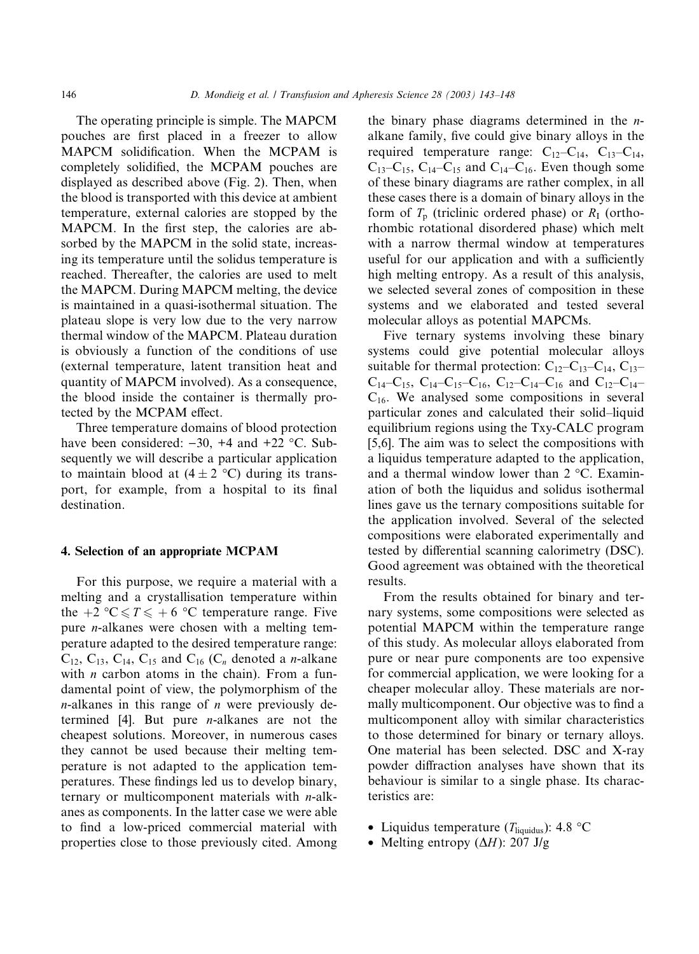The operating principle is simple. The MAPCM pouches are first placed in a freezer to allow MAPCM solidification. When the MCPAM is completely solidified, the MCPAM pouches are displayed as described above (Fig. 2). Then, when the blood is transported with this device at ambient temperature, external calories are stopped by the MAPCM. In the first step, the calories are absorbed by the MAPCM in the solid state, increasing its temperature until the solidus temperature is reached. Thereafter, the calories are used to melt the MAPCM. During MAPCM melting, the device is maintained in a quasi-isothermal situation. The plateau slope is very low due to the very narrow thermal window of the MAPCM. Plateau duration is obviously a function of the conditions of use (external temperature, latent transition heat and quantity of MAPCM involved). As a consequence, the blood inside the container is thermally protected by the MCPAM effect.

Three temperature domains of blood protection have been considered:  $-30$ ,  $+4$  and  $+22$  °C. Subsequently we will describe a particular application to maintain blood at  $(4 \pm 2 \degree C)$  during its transport, for example, from a hospital to its final destination.

### 4. Selection of an appropriate MCPAM

For this purpose, we require a material with a melting and a crystallisation temperature within the +2 °C  $\leq T \leq +6$  °C temperature range. Five pure n-alkanes were chosen with a melting temperature adapted to the desired temperature range:  $C_{12}$ ,  $C_{13}$ ,  $C_{14}$ ,  $C_{15}$  and  $C_{16}$  ( $C_n$  denoted a *n*-alkane with  $n$  carbon atoms in the chain). From a fundamental point of view, the polymorphism of the  $n$ -alkanes in this range of  $n$  were previously determined  $[4]$ . But pure *n*-alkanes are not the cheapest solutions. Moreover, in numerous cases they cannot be used because their melting temperature is not adapted to the application temperatures. These findings led us to develop binary, ternary or multicomponent materials with n-alkanes as components. In the latter case we were able to find a low-priced commercial material with properties close to those previously cited. Among the binary phase diagrams determined in the  $n$ alkane family, five could give binary alloys in the required temperature range:  $C_{12}-C_{14}$ ,  $C_{13}-C_{14}$ ,  $C_{13}-C_{15}$ ,  $C_{14}-C_{15}$  and  $C_{14}-C_{16}$ . Even though some of these binary diagrams are rather complex, in all these cases there is a domain of binary alloys in the form of  $T_p$  (triclinic ordered phase) or  $R_1$  (orthorhombic rotational disordered phase) which melt with a narrow thermal window at temperatures useful for our application and with a sufficiently high melting entropy. As a result of this analysis, we selected several zones of composition in these systems and we elaborated and tested several molecular alloys as potential MAPCMs.

Five ternary systems involving these binary systems could give potential molecular alloys suitable for thermal protection:  $C_{12}-C_{13}-C_{14}$ ,  $C_{13}-C_{14}$  $C_{14}-C_{15}$ ,  $C_{14}-C_{15}-C_{16}$ ,  $C_{12}-C_{14}-C_{16}$  and  $C_{12}-C_{14}-C_{16}$  $C_{16}$ . We analysed some compositions in several particular zones and calculated their solid–liquid equilibrium regions using the Txy-CALC program [5,6]. The aim was to select the compositions with a liquidus temperature adapted to the application, and a thermal window lower than  $2^{\circ}$ C. Examination of both the liquidus and solidus isothermal lines gave us the ternary compositions suitable for the application involved. Several of the selected compositions were elaborated experimentally and tested by differential scanning calorimetry (DSC). Good agreement was obtained with the theoretical results.

From the results obtained for binary and ternary systems, some compositions were selected as potential MAPCM within the temperature range of this study. As molecular alloys elaborated from pure or near pure components are too expensive for commercial application, we were looking for a cheaper molecular alloy. These materials are normally multicomponent. Our objective was to find a multicomponent alloy with similar characteristics to those determined for binary or ternary alloys. One material has been selected. DSC and X-ray powder diffraction analyses have shown that its behaviour is similar to a single phase. Its characteristics are:

- Liquidus temperature ( $T_{\text{liquidus}}$ ): 4.8 °C
- Melting entropy  $(\Delta H)$ : 207 J/g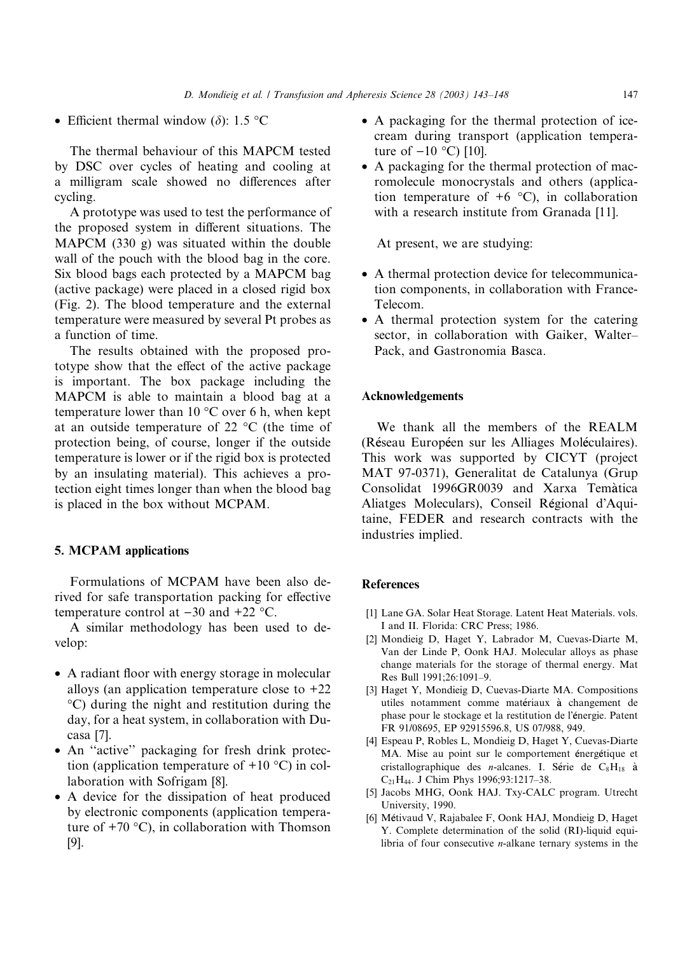• Efficient thermal window  $(\delta)$ : 1.5 °C

The thermal behaviour of this MAPCM tested by DSC over cycles of heating and cooling at a milligram scale showed no differences after cycling.

A prototype was used to test the performance of the proposed system in different situations. The MAPCM (330 g) was situated within the double wall of the pouch with the blood bag in the core. Six blood bags each protected by a MAPCM bag (active package) were placed in a closed rigid box (Fig. 2). The blood temperature and the external temperature were measured by several Pt probes as a function of time.

The results obtained with the proposed prototype show that the effect of the active package is important. The box package including the MAPCM is able to maintain a blood bag at a temperature lower than  $10^{\circ}$ C over 6 h, when kept at an outside temperature of 22  $\degree$ C (the time of protection being, of course, longer if the outside temperature is lower or if the rigid box is protected by an insulating material). This achieves a protection eight times longer than when the blood bag is placed in the box without MCPAM.

## 5. MCPAM applications

Formulations of MCPAM have been also derived for safe transportation packing for effective temperature control at  $-30$  and  $+22$  °C.

A similar methodology has been used to develop:

- A radiant floor with energy storage in molecular alloys (an application temperature close to  $+22$ C) during the night and restitution during the day, for a heat system, in collaboration with Ducasa [7].
- An ''active'' packaging for fresh drink protection (application temperature of  $+10$  °C) in collaboration with Sofrigam [8].
- A device for the dissipation of heat produced by electronic components (application temperature of  $+70$  °C), in collaboration with Thomson [9].
- A packaging for the thermal protection of icecream during transport (application temperature of  $-10$  °C) [10].
- A packaging for the thermal protection of macromolecule monocrystals and others (application temperature of  $+6$  °C), in collaboration with a research institute from Granada [11].

At present, we are studying:

- A thermal protection device for telecommunication components, in collaboration with France-Telecom.
- A thermal protection system for the catering sector, in collaboration with Gaiker, Walter– Pack, and Gastronomia Basca.

#### Acknowledgements

We thank all the members of the REALM (Reseau Europeen sur les Alliages Moleculaires). This work was supported by CICYT (project MAT 97-0371), Generalitat de Catalunya (Grup Consolidat 1996GR0039 and Xarxa Temàtica Aliatges Moleculars), Conseil Régional d'Aquitaine, FEDER and research contracts with the industries implied.

#### **References**

- [1] Lane GA. Solar Heat Storage. Latent Heat Materials. vols. I and II. Florida: CRC Press; 1986.
- [2] Mondieig D, Haget Y, Labrador M, Cuevas-Diarte M, Van der Linde P, Oonk HAJ. Molecular alloys as phase change materials for the storage of thermal energy. Mat Res Bull 1991;26:1091–9.
- [3] Haget Y, Mondieig D, Cuevas-Diarte MA. Compositions utiles notamment comme matériaux à changement de phase pour le stockage et la restitution de l'énergie. Patent FR 91/08695, EP 92915596.8, US 07/988, 949.
- [4] Espeau P, Robles L, Mondieig D, Haget Y, Cuevas-Diarte MA. Mise au point sur le comportement énergétique et cristallographique des *n*-alcanes. I. Série de  $C_8H_{18}$  à C21H44. J Chim Phys 1996;93:1217–38.
- [5] Jacobs MHG, Oonk HAJ. Txy-CALC program. Utrecht University, 1990.
- [6] Metivaud V, Rajabalee F, Oonk HAJ, Mondieig D, Haget Y. Complete determination of the solid (RI)-liquid equilibria of four consecutive n-alkane ternary systems in the